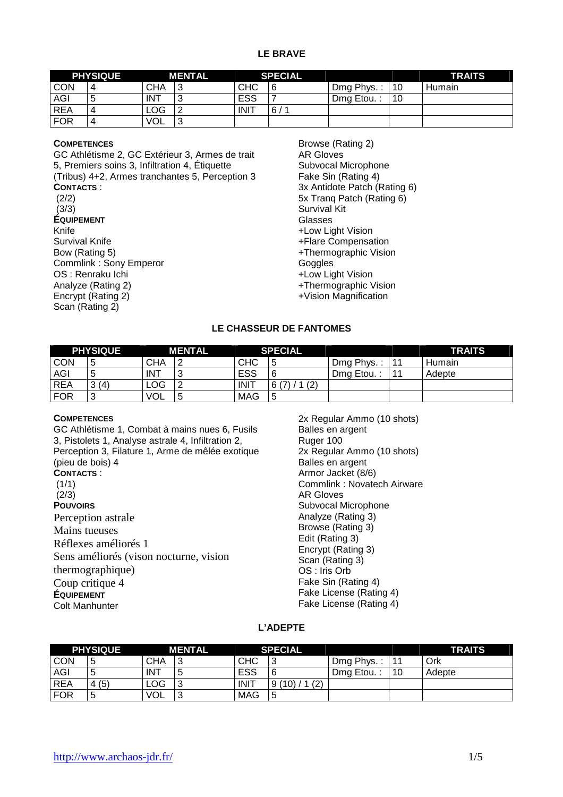### **LE BRAVE**

|            | <b>PHYSIQUE</b><br><b>MENTAL</b> |            |        | <b>SPECIAL</b> |          |            |    | <b>TRAITS</b> |
|------------|----------------------------------|------------|--------|----------------|----------|------------|----|---------------|
| <b>CON</b> | 4                                | СНА        | ົ      | <b>CHC</b>     | 6        | Dmg Phys.: | 10 | <b>Humain</b> |
| AGI        | G                                | <b>INT</b> | u      | <b>ESS</b>     |          | Dma Etou.  | 10 |               |
| <b>REA</b> | 4                                | ∟OG.       |        | <b>INIT</b>    | 6/<br>-4 |            |    |               |
| <b>FOR</b> | 4                                | <b>VOL</b> | ⌒<br>u |                |          |            |    |               |

### **COMPETENCES**

GC Athlétisme 2, GC Extérieur 3, Armes de trait 5, Premiers soins 3, Infiltration 4, Étiquette (Tribus) 4+2, Armes tranchantes 5, Perception 3 **CONTACTS** : (2/2)  $(3/3)$ **ÉQUIPEMENT** Knife Survival Knife Bow (Rating 5) Commlink : Sony Emperor OS : Renraku Ichi Analyze (Rating 2) Encrypt (Rating 2) Scan (Rating 2)

Browse (Rating 2) AR Gloves Subvocal Microphone Fake Sin (Rating 4) 3x Antidote Patch (Rating 6) 5x Tranq Patch (Rating 6) Survival Kit Glasses +Low Light Vision +Flare Compensation +Thermographic Vision **Goggles** +Low Light Vision +Thermographic Vision +Vision Magnification

## **LE CHASSEUR DE FANTOMES**

| <b>PHYSIQUE</b> |        |            | <b>MENTAL</b> |             | <b>SPECIAL</b>         |            |    | <b>TRAITS</b> |
|-----------------|--------|------------|---------------|-------------|------------------------|------------|----|---------------|
| <b>CON</b>      | 5      | СНА        |               | <b>CHC</b>  | 5                      | Dmg Phys.: | 11 | Humain        |
| AGI             | ა      | <b>INT</b> |               | ESS         | 6                      | Dmg Etou.: | 11 | Adepte        |
| <b>REA</b>      | 3(4)   | LOG.       |               | <b>INIT</b> | (2)<br>$\sqrt{7}$<br>6 |            |    |               |
| <b>FOR</b>      | ົ<br>u | <b>VOL</b> |               | <b>MAG</b>  | 5                      |            |    |               |

### **COMPETENCES**

GC Athlétisme 1, Combat à mains nues 6, Fusils 3, Pistolets 1, Analyse astrale 4, Infiltration 2, Perception 3, Filature 1, Arme de mêlée exotique (pieu de bois) 4 **CONTACTS** :  $(1/1)$  (2/3) **POUVOIRS** Perception astrale Mains tueuses Réflexes améliorés 1 Sens améliorés (vison nocturne, vision thermographique) Coup critique 4 **ÉQUIPEMENT** Colt Manhunter

2x Regular Ammo (10 shots) Balles en argent Ruger 100 2x Regular Ammo (10 shots) Balles en argent Armor Jacket (8/6) Commlink : Novatech Airware AR Gloves Subvocal Microphone Analyze (Rating 3) Browse (Rating 3) Edit (Rating 3) Encrypt (Rating 3) Scan (Rating 3) OS : Iris Orb Fake Sin (Rating 4) Fake License (Rating 4) Fake License (Rating 4)

## **L'ADEPTE**

| <b>PHYSIQUE</b> |        | <b>MENTAL</b> |        | <b>SPECIAL</b> |                       |            |       | <b>TRAITS</b> |
|-----------------|--------|---------------|--------|----------------|-----------------------|------------|-------|---------------|
| <b>CON</b>      | '5     | СНА           | ື      | <b>CHC</b>     | 3                     | Dmg Phys.: | $-11$ | Ork           |
| <b>AGI</b>      | G      | <b>INT</b>    | ∽<br>ີ | ESS            | 6                     | Dmg Etou.: | 10    | Adepte        |
| <b>REA</b>      | (5)    | LOG           | ັ      | <b>INIT</b>    | 1(2)<br>$(10)$ /<br>9 |            |       |               |
| <b>FOR</b>      | ς<br>J | <b>VOL</b>    | J      | <b>MAG</b>     | 5                     |            |       |               |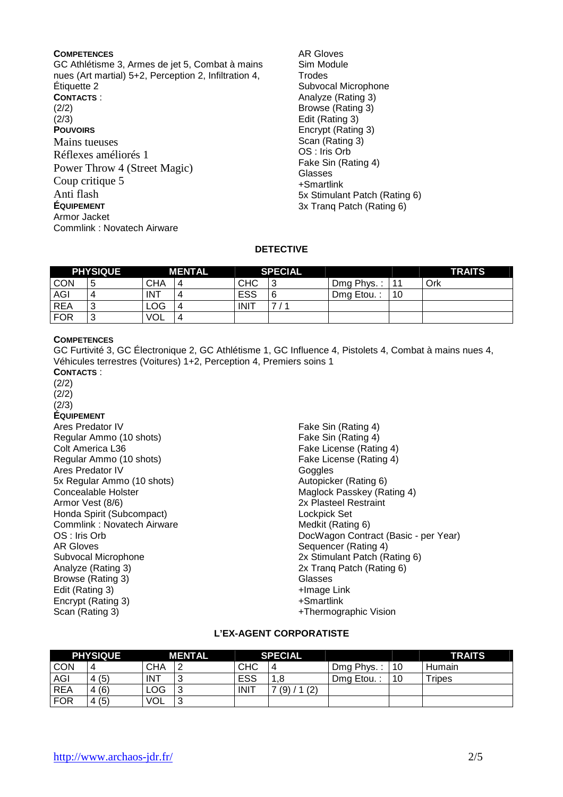### **COMPETENCES**

GC Athlétisme 3, Armes de jet 5, Combat à mains nues (Art martial) 5+2, Perception 2, Infiltration 4, Étiquette 2

**CONTACTS** : (2/2)  $(2/3)$ **POUVOIRS** Mains tueuses Réflexes améliorés 1 Power Throw 4 (Street Magic) Coup critique 5 Anti flash **ÉQUIPEMENT** Armor Jacket Commlink : Novatech Airware

AR Gloves Sim Module Trodes Subvocal Microphone Analyze (Rating 3) Browse (Rating 3) Edit (Rating 3) Encrypt (Rating 3) Scan (Rating 3) OS : Iris Orb Fake Sin (Rating 4) Glasses +Smartlink 5x Stimulant Patch (Rating 6) 3x Tranq Patch (Rating 6)

### **DETECTIVE**

| <b>PHYSIQUE</b> |                 |            | <b>MENTAL</b> |             | <b>SPECIAL</b> |            |       | <b>TRAITS</b> |
|-----------------|-----------------|------------|---------------|-------------|----------------|------------|-------|---------------|
| <b>CON</b>      | 5               | CHA        |               | <b>CHC</b>  | ົ<br>C۰        | Dmg Phys.: | $-11$ | Ork           |
| AGI             | 4               | <b>INT</b> |               | <b>ESS</b>  | 6              | Dmg Etou.  | 10    |               |
| REA             | $\sqrt{2}$<br>◡ | <b>LOG</b> |               | <b>INIT</b> |                |            |       |               |
| <b>FOR</b>      | $\sqrt{2}$<br>◡ | <b>VOL</b> |               |             |                |            |       |               |

### **COMPETENCES**

GC Furtivité 3, GC Électronique 2, GC Athlétisme 1, GC Influence 4, Pistolets 4, Combat à mains nues 4, Véhicules terrestres (Voitures) 1+2, Perception 4, Premiers soins 1

**CONTACTS** : (2/2) (2/2)  $(2/3)$ **ÉQUIPEMENT** Ares Predator IV Regular Ammo (10 shots) Colt America L36 Regular Ammo (10 shots) Ares Predator IV 5x Regular Ammo (10 shots) Concealable Holster Armor Vest (8/6)

Honda Spirit (Subcompact) Commlink : Novatech Airware OS : Iris Orb AR Gloves Subvocal Microphone Analyze (Rating 3) Browse (Rating 3) Edit (Rating 3) Encrypt (Rating 3) Scan (Rating 3)

Fake Sin (Rating 4) Fake Sin (Rating 4) Fake License (Rating 4) Fake License (Rating 4) **Goggles** Autopicker (Rating 6) Maglock Passkey (Rating 4) 2x Plasteel Restraint Lockpick Set Medkit (Rating 6) DocWagon Contract (Basic - per Year) Sequencer (Rating 4) 2x Stimulant Patch (Rating 6) 2x Tranq Patch (Rating 6) Glasses +Image Link +Smartlink +Thermographic Vision

## **L'EX-AGENT CORPORATISTE**

| <b>PHYSIQUE</b> |      | <b>MENTAL</b> | <b>SPECIAL</b> |             |            |            | <b>TRAITS</b> |           |
|-----------------|------|---------------|----------------|-------------|------------|------------|---------------|-----------|
| <b>CON</b>      | 4    | СНА           |                | <b>CHC</b>  | 4          | Dmg Phys.: | 10            | Humain    |
| AGI             | 4(5) | <b>INT</b>    |                | ESS         | .8<br>л    | Dmg Etou.: | 10            | $r$ ripes |
| <b>REA</b>      | 4(6) | <b>LOG</b>    |                | <b>INIT</b> | (2)<br>(9) |            |               |           |
| <b>FOR</b>      | 4(5) | <b>VOL</b>    | $\sim$<br>J    |             |            |            |               |           |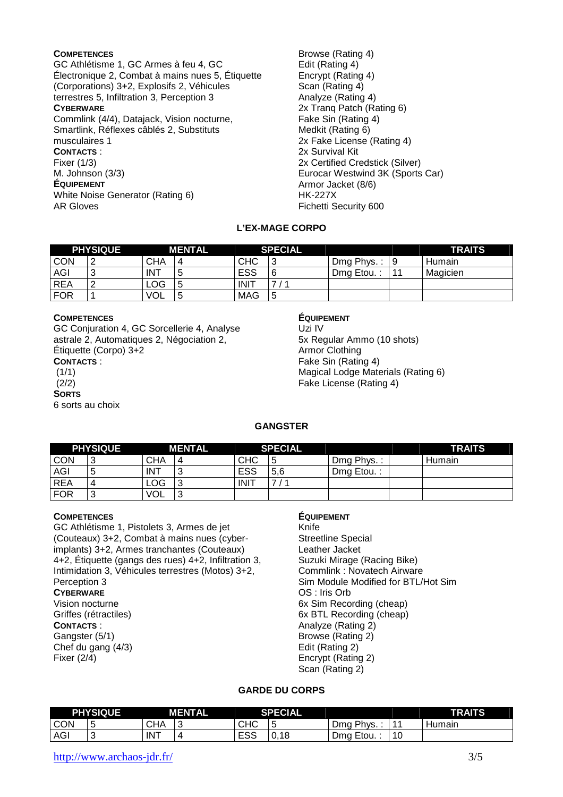### **COMPETENCES**

GC Athlétisme 1, GC Armes à feu 4, GC Électronique 2, Combat à mains nues 5, Étiquette (Corporations) 3+2, Explosifs 2, Véhicules terrestres 5, Infiltration 3, Perception 3 **CYBERWARE** Commlink (4/4), Datajack, Vision nocturne, Smartlink, Réflexes câblés 2, Substituts musculaires 1 **CONTACTS** : Fixer (1/3) M. Johnson (3/3) **ÉQUIPEMENT** White Noise Generator (Rating 6) AR Gloves

Browse (Rating 4) Edit (Rating 4) Encrypt (Rating 4) Scan (Rating 4) Analyze (Rating 4) 2x Tranq Patch (Rating 6) Fake Sin (Rating 4) Medkit (Rating 6) 2x Fake License (Rating 4) 2x Survival Kit 2x Certified Credstick (Silver) Eurocar Westwind 3K (Sports Car) Armor Jacket (8/6) HK-227X Fichetti Security 600

## **L'EX-MAGE CORPO**

|            | <b>PHYSIQUE</b> |            | <b>MENTAL</b> | <b>SPECIAL</b> |   |              |     | <b>TRAITS</b> |
|------------|-----------------|------------|---------------|----------------|---|--------------|-----|---------------|
| <b>CON</b> | $\sqrt{2}$      | СНА        |               | <b>CHC</b>     | 3 | $Dmg$ Phys.: | و ا | <b>Humain</b> |
| <b>AGI</b> | $\sim$<br>◡     | . INT      | w             | <b>ESS</b>     | 6 | Dmg Etou.:   | 11  | Magicien      |
| <b>REA</b> |                 | LOG        | ັ             | <b>INIT</b>    |   |              |     |               |
| <b>FOR</b> |                 | <b>VOL</b> | ∽<br>J        | <b>MAG</b>     | 5 |              |     |               |

### **COMPETENCES**

GC Conjuration 4, GC Sorcellerie 4, Analyse astrale 2, Automatiques 2, Négociation 2, Étiquette (Corpo) 3+2 **CONTACTS** :

 $(1/1)$  (2/2) **SORTS**

6 sorts au choix

## **ÉQUIPEMENT**

Uzi IV 5x Regular Ammo (10 shots) Armor Clothing Fake Sin (Rating 4) Magical Lodge Materials (Rating 6) Fake License (Rating 4)

## **GANGSTER**

| <b>PHYSIQUE</b> |        |            | MENTAL         |             | <b>SPECIAL</b> |            | <b>TRAITS</b> |
|-----------------|--------|------------|----------------|-------------|----------------|------------|---------------|
| <b>CON</b>      | . 3    | <b>CHA</b> | $\overline{a}$ | <b>CHC</b>  | 5              | Dmg Phys.: | Humain        |
| AGI             | ა      | . INT      | $\sim$         | ESS         | 5,6            | Dmg Etou.: |               |
| <b>REA</b>      | 4      | <b>LOG</b> | ື              | <b>INIT</b> | ⇁              |            |               |
| <b>FOR</b>      | ີ<br>J | <b>VOL</b> | $\sim$<br>◡    |             |                |            |               |

### **COMPETENCES**

GC Athlétisme 1, Pistolets 3, Armes de jet (Couteaux) 3+2, Combat à mains nues (cyberimplants) 3+2, Armes tranchantes (Couteaux) 4+2, Étiquette (gangs des rues) 4+2, Infiltration 3, Intimidation 3, Véhicules terrestres (Motos) 3+2, Perception 3 **CYBERWARE** Vision nocturne Griffes (rétractiles) **CONTACTS** : Gangster (5/1) Chef du gang (4/3) Fixer (2/4)

## **ÉQUIPEMENT**

Knife Streetline Special Leather Jacket Suzuki Mirage (Racing Bike) Commlink : Novatech Airware Sim Module Modified for BTL/Hot Sim OS : Iris Orb 6x Sim Recording (cheap) 6x BTL Recording (cheap) Analyze (Rating 2) Browse (Rating 2) Edit (Rating 2) Encrypt (Rating 2) Scan (Rating 2)

### **GARDE DU CORPS**

| <b>PHYSIQUE</b> |        | <b>MENTAL</b> |   | <b>SPECIAL</b> |        |               |                      | <b>TRAITS</b> |
|-----------------|--------|---------------|---|----------------|--------|---------------|----------------------|---------------|
| <b>CON</b>      | ∽<br>w | СНА           | ◡ | CHC            | -<br>u | Dmg Phys      | <b>A</b> A           | Humain        |
| AGI             |        | <b>INT</b>    |   | roo<br>౬ఎఎ     | 0,18   | Etou.:<br>Dma | $\overline{1}$<br>טו |               |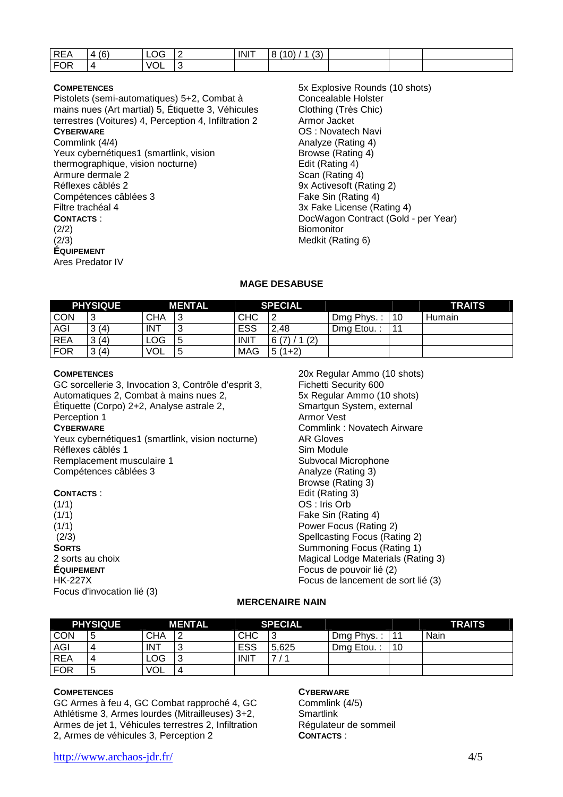| <b>REA</b> | (6)<br>4 | OG<br>∼∽ | <b>INIT</b> | (2)<br>(10)<br>$\Omega$<br>$\overline{A}$<br>ا ت<br>O |  |  |
|------------|----------|----------|-------------|-------------------------------------------------------|--|--|
| FOR        | _        | VOL      |             |                                                       |  |  |

### **COMPETENCES**

Pistolets (semi-automatiques) 5+2, Combat à mains nues (Art martial) 5, Étiquette 3, Véhicules terrestres (Voitures) 4, Perception 4, Infiltration 2

# **CYBERWARE**

Commlink (4/4) Yeux cybernétiques1 (smartlink, vision thermographique, vision nocturne) Armure dermale 2 Réflexes câblés 2 Compétences câblées 3 Filtre trachéal 4 **CONTACTS** : (2/2)  $(2/3)$ **ÉQUIPEMENT** Ares Predator IV

5x Explosive Rounds (10 shots) Concealable Holster Clothing (Très Chic) Armor Jacket OS : Novatech Navi Analyze (Rating 4) Browse (Rating 4) Edit (Rating 4) Scan (Rating 4) 9x Activesoft (Rating 2) Fake Sin (Rating 4) 3x Fake License (Rating 4) DocWagon Contract (Gold - per Year) **Biomonitor** Medkit (Rating 6)

### **MAGE DESABUSE**

| <b>PHYSIQUE</b> |        | <b>MENTAL</b> |   | <b>SPECIAL</b> |              |            |                 | <b>TRAITS</b> |
|-----------------|--------|---------------|---|----------------|--------------|------------|-----------------|---------------|
| CON             | ົ<br>ັ | CHA           | ں | <b>CHC</b>     | റ            | Dmg Phys.: | $\overline{10}$ | Humain        |
| AGI             | 3(4)   | . INT         | J | <b>ESS</b>     | 2.48         | Dmg Etou.  | $-11$           |               |
| <b>REA</b>      | 3(4)   | LOG           | J | <b>INIT</b>    | 1(2)<br>6(7) |            |                 |               |
| <b>FOR</b>      | 3(4)   | <b>VOL</b>    | ◡ | <b>MAG</b>     | $5(1+2)$     |            |                 |               |

### **COMPETENCES**

GC sorcellerie 3, Invocation 3, Contrôle d'esprit 3, Automatiques 2, Combat à mains nues 2, Étiquette (Corpo) 2+2, Analyse astrale 2, Perception 1 **CYBERWARE**

Yeux cybernétiques1 (smartlink, vision nocturne) Réflexes câblés 1 Remplacement musculaire 1 Compétences câblées 3

### **CONTACTS** :

 $(1/1)$  $(1/1)$  $(1/1)$  $(2/3)$ **SORTS** 2 sorts au choix **ÉQUIPEMENT** HK-227X Focus d'invocation lié (3)

20x Regular Ammo (10 shots) Fichetti Security 600 5x Regular Ammo (10 shots) Smartgun System, external Armor Vest Commlink : Novatech Airware AR Gloves Sim Module Subvocal Microphone Analyze (Rating 3) Browse (Rating 3) Edit (Rating 3) OS : Iris Orb Fake Sin (Rating 4) Power Focus (Rating 2) Spellcasting Focus (Rating 2) Summoning Focus (Rating 1) Magical Lodge Materials (Rating 3) Focus de pouvoir lié (2) Focus de lancement de sort lié (3)

## **MERCENAIRE NAIN**

| <b>PHYSIQUE</b> |    |            | <b>SPECIAL</b><br><b>MENTAL</b> |             |       |            | <b>TRAITS</b> |      |
|-----------------|----|------------|---------------------------------|-------------|-------|------------|---------------|------|
| <b>CON</b>      | 5  | <b>CHA</b> |                                 | <b>CHC</b>  | 3     | Dmg Phys.: | . 11          | Nain |
| AGI             | 4  | . INT      | $\sqrt{2}$                      | ESS         | 5,625 | Dmg Etou.: | 10            |      |
| REA             | 4  | <b>LOG</b> |                                 | <b>INIT</b> | ⇁     |            |               |      |
| <b>FOR</b>      | .ხ | <b>VOL</b> | Δ                               |             |       |            |               |      |

### **COMPETENCES**

GC Armes à feu 4, GC Combat rapproché 4, GC Athlétisme 3, Armes lourdes (Mitrailleuses) 3+2, Armes de jet 1, Véhicules terrestres 2, Infiltration 2, Armes de véhicules 3, Perception 2

### **CYBERWARE**

Commlink (4/5) **Smartlink** Régulateur de sommeil **CONTACTS** :